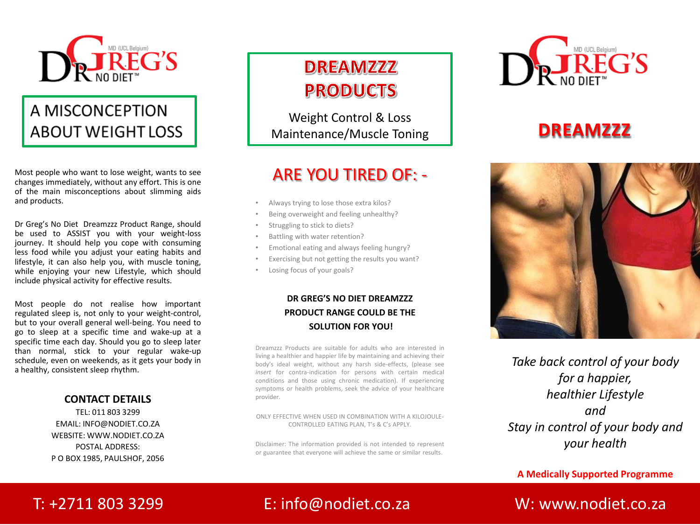

## A MISCONCEPTION **ABOUT WEIGHT LOSS**

Most people who want to lose weight, wants to see changes immediately, without any effort. This is one of the main misconceptions about slimming aids and products.

Dr Greg's No Diet Dreamzzz Product Range, should be used to ASSIST you with your weight-loss journey. It should help you cope with consuming less food while you adjust your eating habits and lifestyle, it can also help you, with muscle toning, while enjoying your new Lifestyle, which should include physical activity for effective results.

Most people do not realise how important regulated sleep is, not only to your weight-control, but to your overall general well-being. You need to go to sleep at a specific time and wake-up at a specific time each day. Should you go to sleep later than normal, stick to your regular wake-up schedule, even on weekends, as it gets your body in a healthy, consistent sleep rhythm.

#### **CONTACT DETAILS**

TEL: 011 803 3299 EMAIL: INFO@NODIET.CO.ZA WEBSITE: WWW.NODIET.CO.ZA POSTAL ADDRESS: P O BOX 1985, PAULSHOF, 2056

## **DREAMZZZ PRODUCTS**

Weight Control & Loss Maintenance/Muscle Toning

#### ARE YOU TIRED OF: -

- Always trying to lose those extra kilos?
- Being overweight and feeling unhealthy?
- Struggling to stick to diets?
- Battling with water retention?
- Emotional eating and always feeling hungry?
- Exercising but not getting the results you want?
- Losing focus of your goals?

#### **DR GREG'S NO DIET DREAMZZZ PRODUCT RANGE COULD BE THE SOLUTION FOR YOU!**

Dreamzzz Products are suitable for adults who are interested in living a healthier and happier life by maintaining and achieving their body's ideal weight, without any harsh side-effects, (please see *insert* for contra-indication for persons with certain medical conditions and those using chronic medication). If experiencing symptoms or health problems, seek the advice of your healthcare provider.

ONLY EFFECTIVE WHEN USED IN COMBINATION WITH A KILOJOULE-CONTROLLED EATING PLAN, T's & C's APPLY.

Disclaimer: The information provided is not intended to represent or guarantee that everyone will achieve the same or similar results.



## **DREAMZZZ**



*Take back control of your body for a happier, healthier Lifestyle and Stay in control of your body and your health*

**A Medically Supported Programme**

#### T: +2711 803 3299 E: info@nodiet.co.za W: www.nodiet.co.za